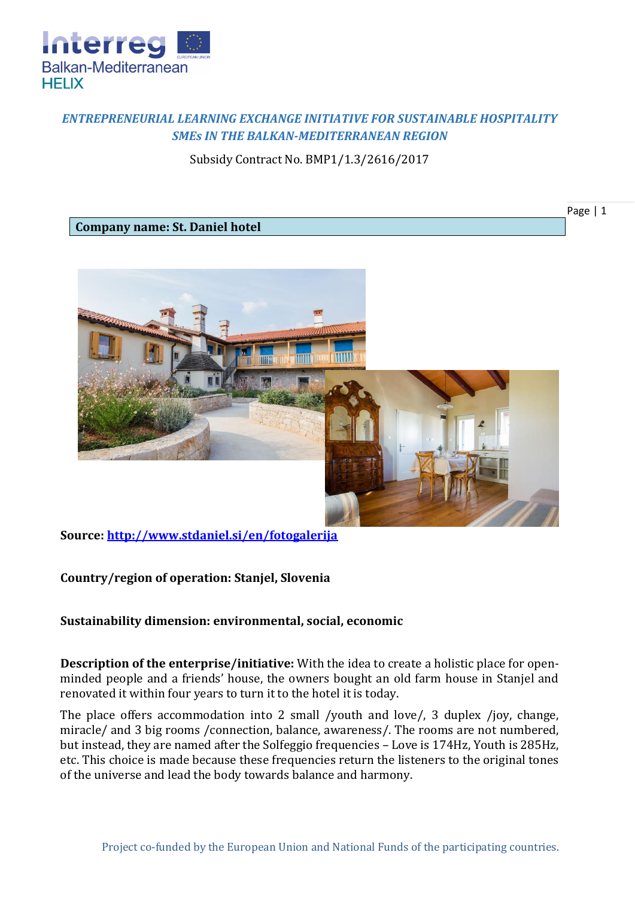

## *ENTREPRENEURIAL LEARNING EXCHANGE INITIATIVE FOR SUSTAINABLE HOSPITALITY SMEs IN THE BALKAN-MEDITERRANEAN REGION*

Subsidy Contract No. BMP1/1.3/2616/2017

Page | 1

## **Company name: St. Daniel hotel**



**Source:<http://www.stdaniel.si/en/fotogalerija>**

**Country/region of operation: Stanjel, Slovenia**

## **Sustainability dimension: environmental, social, economic**

**Description of the enterprise/initiative:** With the idea to create a holistic place for openminded people and a friends' house, the owners bought an old farm house in Stanjel and renovated it within four years to turn it to the hotel it is today.

The place offers accommodation into 2 small /youth and love/, 3 duplex /joy, change, miracle/ and 3 big rooms /connection, balance, awareness/. The rooms are not numbered, but instead, they are named after the Solfeggio frequencies – Love is 174Hz, Youth is 285Hz, etc. This choice is made because these frequencies return the listeners to the original tones of the universe and lead the body towards balance and harmony.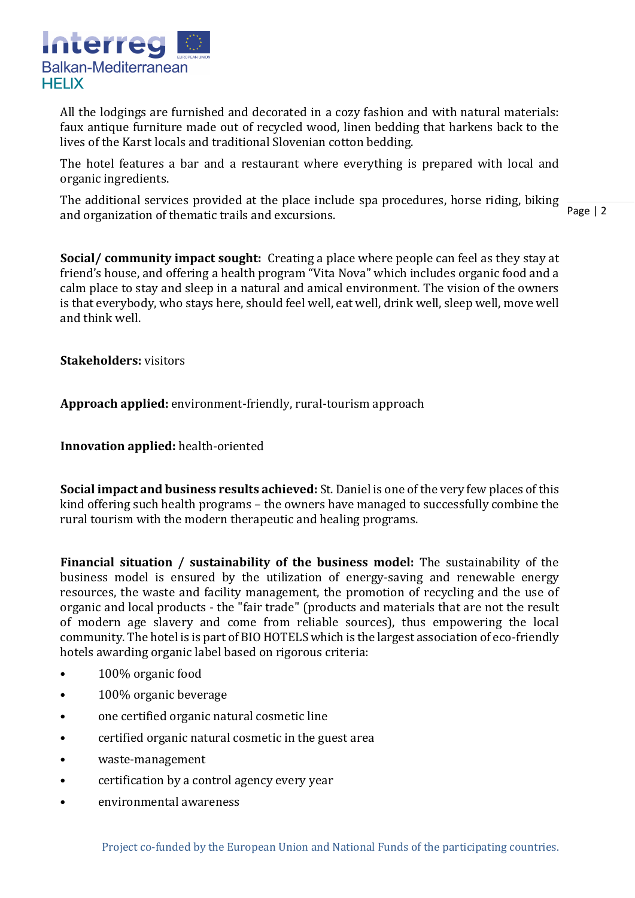

All the lodgings are furnished and decorated in a cozy fashion and with natural materials: faux antique furniture made out of recycled wood, linen bedding that harkens back to the lives of the Karst locals and traditional Slovenian cotton bedding.

The hotel features a bar and a restaurant where everything is prepared with local and organic ingredients.

The additional services provided at the place include spa procedures, horse riding, biking and organization of thematic trails and excursions.

Page | 2

**Social/ community impact sought:** Creating a place where people can feel as they stay at friend's house, and offering a health program "Vita Nova" which includes organic food and a calm place to stay and sleep in a natural and amical environment. The vision of the owners is that everybody, who stays here, should feel well, eat well, drink well, sleep well, move well and think well.

**Stakeholders:** visitors

**Approach applied:** environment-friendly, rural-tourism approach

**Innovation applied:** health-oriented

**Social impact and business results achieved:** St. Daniel is one of the very few places of this kind offering such health programs – the owners have managed to successfully combine the rural tourism with the modern therapeutic and healing programs.

**Financial situation / sustainability of the business model:** The sustainability of the business model is ensured by the utilization of energy-saving and renewable energy resources, the waste and facility management, the promotion of recycling and the use of organic and local products - the "fair trade" (products and materials that are not the result of modern age slavery and come from reliable sources), thus empowering the local community. The hotel is is part of BIO HOTELS which is the largest association of eco-friendly hotels awarding organic label based on rigorous criteria:

- 100% organic food
- 100% organic beverage
- one certified organic natural cosmetic line
- certified organic natural cosmetic in the guest area
- waste-management
- certification by a control agency every year
- environmental awareness